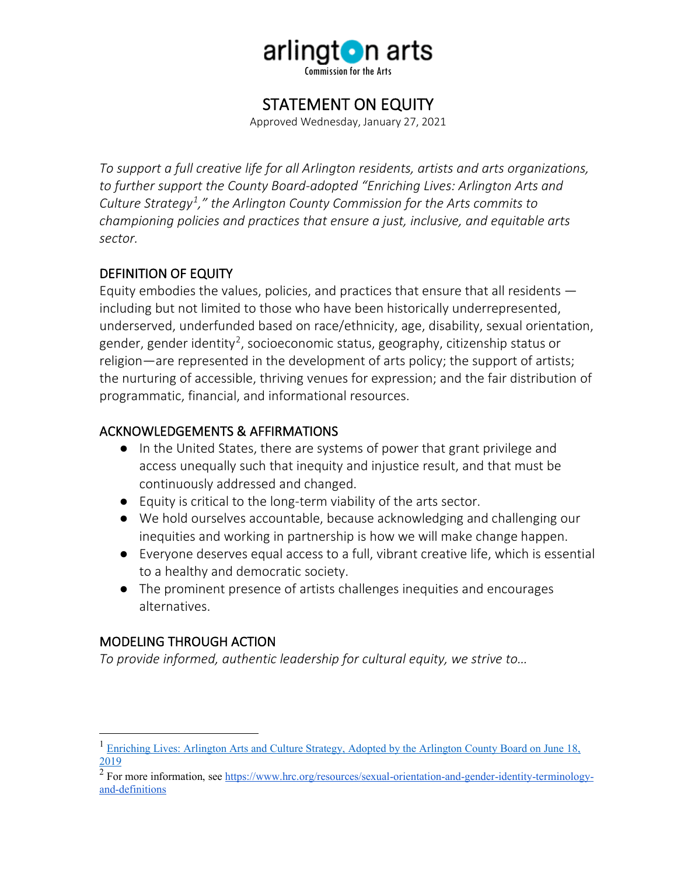

# STATEMENT ON EQUITY

Approved Wednesday, January 27, 2021

*To support a full creative life for all Arlington residents, artists and arts organizations, to further support the County Board-adopted "Enriching Lives: Arlington Arts and Culture Strategy[1](#page-0-0) ," the Arlington County Commission for the Arts commits to championing policies and practices that ensure a just, inclusive, and equitable arts sector.*

## DEFINITION OF EQUITY

Equity embodies the values, policies, and practices that ensure that all residents including but not limited to those who have been historically underrepresented, underserved, underfunded based on race/ethnicity, age, disability, sexual orientation, gender, gender identity<sup>[2](#page-0-1)</sup>, socioeconomic status, geography, citizenship status or religion—are represented in the development of arts policy; the support of artists; the nurturing of accessible, thriving venues for expression; and the fair distribution of programmatic, financial, and informational resources.

## ACKNOWLEDGEMENTS & AFFIRMATIONS

- In the United States, there are systems of power that grant privilege and access unequally such that inequity and injustice result, and that must be continuously addressed and changed.
- Equity is critical to the long-term viability of the arts sector.
- We hold ourselves accountable, because acknowledging and challenging our inequities and working in partnership is how we will make change happen.
- Everyone deserves equal access to a full, vibrant creative life, which is essential to a healthy and democratic society.
- The prominent presence of artists challenges inequities and encourages alternatives.

#### MODELING THROUGH ACTION

*To provide informed, authentic leadership for cultural equity, we strive to…*

<span id="page-0-0"></span><sup>&</sup>lt;sup>1</sup> Enriching Lives: Arlington Arts and Culture Strategy, Adopted by the Arlington County Board on June 18, [2019](https://arlingtonva.s3.dualstack.us-east-1.amazonaws.com/wp-content/uploads/sites/5/2018/05/Enriching-Lives-Arlingtons-Arts-and-Culture-Strategy.pdf)

<span id="page-0-1"></span><sup>&</sup>lt;sup>2</sup> For more information, se[e https://www.hrc.org/resources/sexual-orientation-and-gender-identity-terminology](https://www.hrc.org/resources/sexual-orientation-and-gender-identity-terminology-and-definitions)[and-definitions](https://www.hrc.org/resources/sexual-orientation-and-gender-identity-terminology-and-definitions)